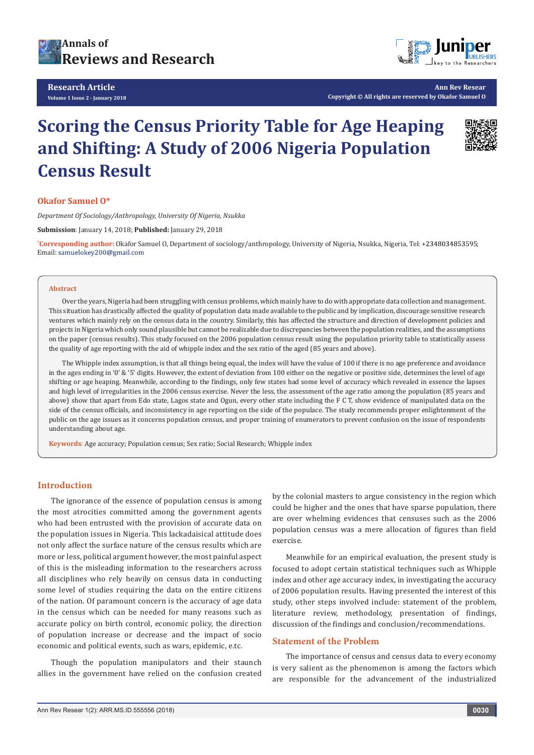

**Research Article Volume 1 Issue 2 - January 2018**



**Ann Rev Resear Copyright © All rights are reserved by Okafor Samuel O**

# **Scoring the Census Priority Table for Age Heaping and Shifting: A Study of 2006 Nigeria Population Census Result**



### **Okafor Samuel O\***

*Department Of Sociology/Anthropology, University Of Nigeria, Nsukka*

**Submission**: January 14, 2018; **Published:** January 29, 2018

**\* Corresponding author:** Okafor Samuel O, Department of sociology/anthropology, University of Nigeria, Nsukka, Nigeria, Tel: ; Email: samuelokey200@gmail.com

#### **Abstract**

Over the years, Nigeria had been struggling with census problems, which mainly have to do with appropriate data collection and management. This situation has drastically affected the quality of population data made available to the public and by implication, discourage sensitive research ventures which mainly rely on the census data in the country. Similarly, this has affected the structure and direction of development policies and projects in Nigeria which only sound plausible but cannot be realizable due to discrepancies between the population realities, and the assumptions on the paper (census results). This study focused on the 2006 population census result using the population priority table to statistically assess the quality of age reporting with the aid of whipple index and the sex ratio of the aged (85 years and above).

The Whipple index assumption, is that all things being equal, the index will have the value of 100 if there is no age preference and avoidance in the ages ending in '0' & '5' digits. However, the extent of deviation from 100 either on the negative or positive side, determines the level of age shifting or age heaping. Meanwhile, according to the findings, only few states had some level of accuracy which revealed in essence the lapses and high level of irregularities in the 2006 census exercise. Never the less, the assessment of the age ratio among the population (85 years and above) show that apart from Edo state, Lagos state and Ogun, every other state including the F C T, show evidence of manipulated data on the side of the census officials, and inconsistency in age reporting on the side of the populace. The study recommends proper enlightenment of the public on the age issues as it concerns population census, and proper training of enumerators to prevent confusion on the issue of respondents understanding about age.

**Keywords**: Age accuracy; Population census; Sex ratio; Social Research; Whipple index

# **Introduction**

The ignorance of the essence of population census is among the most atrocities committed among the government agents who had been entrusted with the provision of accurate data on the population issues in Nigeria. This lackadaisical attitude does not only affect the surface nature of the census results which are more or less, political argument however, the most painful aspect of this is the misleading information to the researchers across all disciplines who rely heavily on census data in conducting some level of studies requiring the data on the entire citizens of the nation. Of paramount concern is the accuracy of age data in the census which can be needed for many reasons such as accurate policy on birth control, economic policy, the direction of population increase or decrease and the impact of socio economic and political events, such as wars, epidemic, e.tc.

Though the population manipulators and their staunch allies in the government have relied on the confusion created by the colonial masters to argue consistency in the region which could be higher and the ones that have sparse population, there are over whelming evidences that censuses such as the 2006 population census was a mere allocation of figures than field exercise.

Meanwhile for an empirical evaluation, the present study is focused to adopt certain statistical techniques such as Whipple index and other age accuracy index, in investigating the accuracy of 2006 population results. Having presented the interest of this study, other steps involved include: statement of the problem, literature review, methodology, presentation of findings, discussion of the findings and conclusion/recommendations.

# **Statement of the Problem**

The importance of census and census data to every economy is very salient as the phenomenon is among the factors which are responsible for the advancement of the industrialized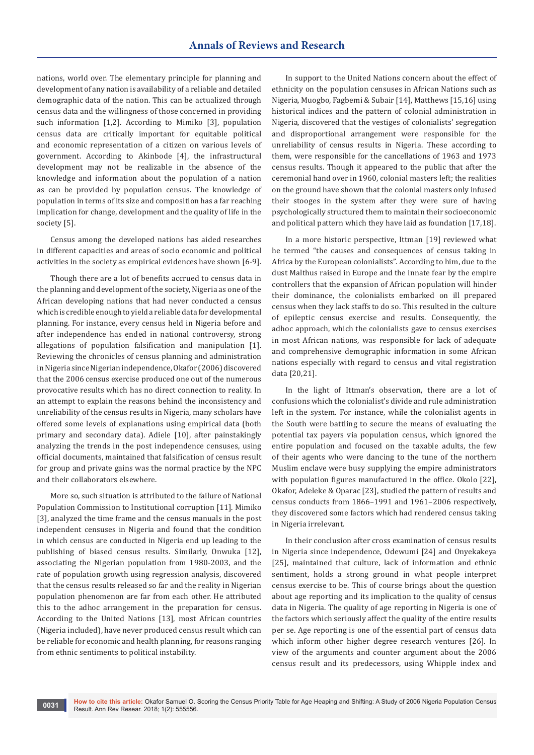nations, world over. The elementary principle for planning and development of any nation is availability of a reliable and detailed demographic data of the nation. This can be actualized through census data and the willingness of those concerned in providing such information [1,2]. According to Mimiko [3], population census data are critically important for equitable political and economic representation of a citizen on various levels of government. According to Akinbode [4], the infrastructural development may not be realizable in the absence of the knowledge and information about the population of a nation as can be provided by population census. The knowledge of population in terms of its size and composition has a far reaching implication for change, development and the quality of life in the society [5].

Census among the developed nations has aided researches in different capacities and areas of socio economic and political activities in the society as empirical evidences have shown [6-9].

Though there are a lot of benefits accrued to census data in the planning and development of the society, Nigeria as one of the African developing nations that had never conducted a census which is credible enough to yield a reliable data for developmental planning. For instance, every census held in Nigeria before and after independence has ended in national controversy, strong allegations of population falsification and manipulation [1]. Reviewing the chronicles of census planning and administration in Nigeria since Nigerian independence, Okafor (2006) discovered that the 2006 census exercise produced one out of the numerous provocative results which has no direct connection to reality. In an attempt to explain the reasons behind the inconsistency and unreliability of the census results in Nigeria, many scholars have offered some levels of explanations using empirical data (both primary and secondary data). Adiele [10], after painstakingly analyzing the trends in the post independence censuses, using official documents, maintained that falsification of census result for group and private gains was the normal practice by the NPC and their collaborators elsewhere.

More so, such situation is attributed to the failure of National Population Commission to Institutional corruption [11]. Mimiko [3], analyzed the time frame and the census manuals in the post independent censuses in Nigeria and found that the condition in which census are conducted in Nigeria end up leading to the publishing of biased census results. Similarly, Onwuka [12], associating the Nigerian population from 1980-2003, and the rate of population growth using regression analysis, discovered that the census results released so far and the reality in Nigerian population phenomenon are far from each other. He attributed this to the adhoc arrangement in the preparation for census. According to the United Nations [13], most African countries (Nigeria included), have never produced census result which can be reliable for economic and health planning, for reasons ranging from ethnic sentiments to political instability.

In support to the United Nations concern about the effect of ethnicity on the population censuses in African Nations such as Nigeria, Muogbo, Fagbemi & Subair [14], Matthews [15,16] using historical indices and the pattern of colonial administration in Nigeria, discovered that the vestiges of colonialists' segregation and disproportional arrangement were responsible for the unreliability of census results in Nigeria. These according to them, were responsible for the cancellations of 1963 and 1973 census results. Though it appeared to the public that after the ceremonial hand over in 1960, colonial masters left; the realities on the ground have shown that the colonial masters only infused their stooges in the system after they were sure of having psychologically structured them to maintain their socioeconomic and political pattern which they have laid as foundation [17,18].

In a more historic perspective, Ittman [19] reviewed what he termed "the causes and consequences of census taking in Africa by the European colonialists". According to him, due to the dust Malthus raised in Europe and the innate fear by the empire controllers that the expansion of African population will hinder their dominance, the colonialists embarked on ill prepared census when they lack staffs to do so. This resulted in the culture of epileptic census exercise and results. Consequently, the adhoc approach, which the colonialists gave to census exercises in most African nations, was responsible for lack of adequate and comprehensive demographic information in some African nations especially with regard to census and vital registration data [20,21].

In the light of Ittman's observation, there are a lot of confusions which the colonialist's divide and rule administration left in the system. For instance, while the colonialist agents in the South were battling to secure the means of evaluating the potential tax payers via population census, which ignored the entire population and focused on the taxable adults, the few of their agents who were dancing to the tune of the northern Muslim enclave were busy supplying the empire administrators with population figures manufactured in the office. Okolo [22], Okafor, Adeleke & Oparac [23], studied the pattern of results and census conducts from 1866–1991 and 1961–2006 respectively, they discovered some factors which had rendered census taking in Nigeria irrelevant.

In their conclusion after cross examination of census results in Nigeria since independence, Odewumi [24] and Onyekakeya [25], maintained that culture, lack of information and ethnic sentiment, holds a strong ground in what people interpret census exercise to be. This of course brings about the question about age reporting and its implication to the quality of census data in Nigeria. The quality of age reporting in Nigeria is one of the factors which seriously affect the quality of the entire results per se. Age reporting is one of the essential part of census data which inform other higher degree research ventures [26]. In view of the arguments and counter argument about the 2006 census result and its predecessors, using Whipple index and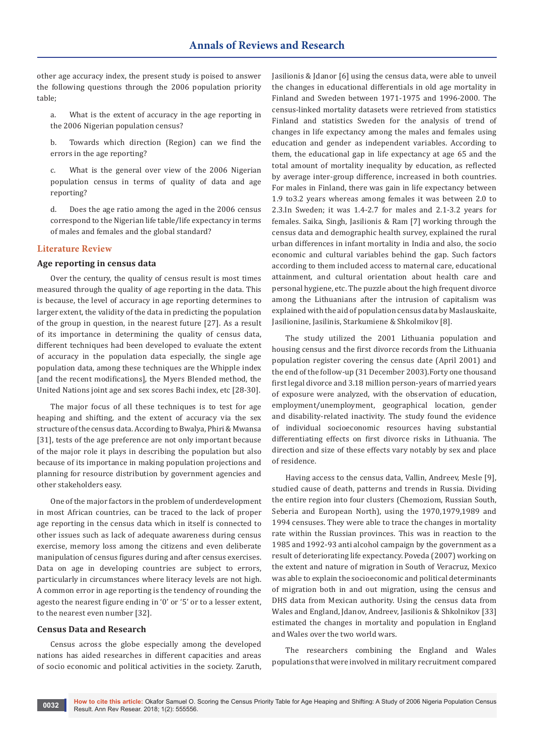other age accuracy index, the present study is poised to answer the following questions through the 2006 population priority table;

a. What is the extent of accuracy in the age reporting in the 2006 Nigerian population census?

b. Towards which direction (Region) can we find the errors in the age reporting?

c. What is the general over view of the 2006 Nigerian population census in terms of quality of data and age reporting?

d. Does the age ratio among the aged in the 2006 census correspond to the Nigerian life table/life expectancy in terms of males and females and the global standard?

# **Literature Review**

#### **Age reporting in census data**

Over the century, the quality of census result is most times measured through the quality of age reporting in the data. This is because, the level of accuracy in age reporting determines to larger extent, the validity of the data in predicting the population of the group in question, in the nearest future [27]. As a result of its importance in determining the quality of census data, different techniques had been developed to evaluate the extent of accuracy in the population data especially, the single age population data, among these techniques are the Whipple index [and the recent modifications], the Myers Blended method, the United Nations joint age and sex scores Bachi index, etc [28-30].

The major focus of all these techniques is to test for age heaping and shifting, and the extent of accuracy via the sex structure of the census data. According to Bwalya, Phiri & Mwansa [31], tests of the age preference are not only important because of the major role it plays in describing the population but also because of its importance in making population projections and planning for resource distribution by government agencies and other stakeholders easy.

One of the major factors in the problem of underdevelopment in most African countries, can be traced to the lack of proper age reporting in the census data which in itself is connected to other issues such as lack of adequate awareness during census exercise, memory loss among the citizens and even deliberate manipulation of census figures during and after census exercises. Data on age in developing countries are subject to errors, particularly in circumstances where literacy levels are not high. A common error in age reporting is the tendency of rounding the agesto the nearest figure ending in '0' or '5' or to a lesser extent, to the nearest even number [32].

## **Census Data and Research**

Census across the globe especially among the developed nations has aided researches in different capacities and areas of socio economic and political activities in the society. Zaruth, Jasilionis & Jdanor [6] using the census data, were able to unveil the changes in educational differentials in old age mortality in Finland and Sweden between 1971-1975 and 1996-2000. The census-linked mortality datasets were retrieved from statistics Finland and statistics Sweden for the analysis of trend of changes in life expectancy among the males and females using education and gender as independent variables. According to them, the educational gap in life expectancy at age 65 and the total amount of mortality inequality by education, as reflected by average inter-group difference, increased in both countries. For males in Finland, there was gain in life expectancy between 1.9 to3.2 years whereas among females it was between 2.0 to 2.3.In Sweden; it was 1.4-2.7 for males and 2.1-3.2 years for females. Saika, Singh, Jasilionis & Ram [7] working through the census data and demographic health survey, explained the rural urban differences in infant mortality in India and also, the socio economic and cultural variables behind the gap. Such factors according to them included access to maternal care, educational attainment, and cultural orientation about health care and personal hygiene, etc. The puzzle about the high frequent divorce among the Lithuanians after the intrusion of capitalism was explained with the aid of population census data by Maslauskaite, Jasilionine, Jasilinis, Starkumiene & Shkolmikov [8].

The study utilized the 2001 Lithuania population and housing census and the first divorce records from the Lithuania population register covering the census date (April 2001) and the end of the follow-up (31 December 2003).Forty one thousand first legal divorce and 3.18 million person-years of married years of exposure were analyzed, with the observation of education, employment/unemployment, geographical location, gender and disability-related inactivity. The study found the evidence of individual socioeconomic resources having substantial differentiating effects on first divorce risks in Lithuania. The direction and size of these effects vary notably by sex and place of residence.

Having access to the census data, Vallin, Andreev, Mesle [9], studied cause of death, patterns and trends in Russia. Dividing the entire region into four clusters (Chemoziom, Russian South, Seberia and European North), using the 1970,1979,1989 and 1994 censuses. They were able to trace the changes in mortality rate within the Russian provinces. This was in reaction to the 1985 and 1992-93 anti alcohol campaign by the government as a result of deteriorating life expectancy. Poveda (2007) working on the extent and nature of migration in South of Veracruz, Mexico was able to explain the socioeconomic and political determinants of migration both in and out migration, using the census and DHS data from Mexican authority. Using the census data from Wales and England, Jdanov, Andreev, Jasilionis & Shkolnikov [33] estimated the changes in mortality and population in England and Wales over the two world wars.

The researchers combining the England and Wales populations that were involved in military recruitment compared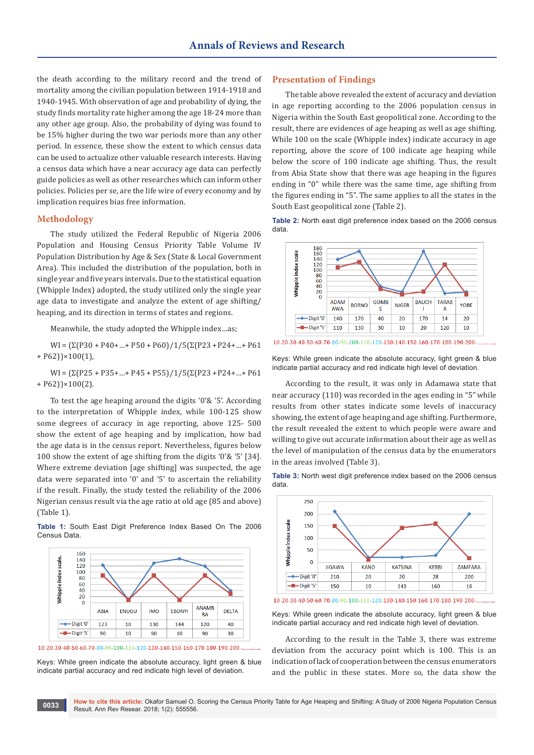the death according to the military record and the trend of mortality among the civilian population between 1914-1918 and 1940-1945. With observation of age and probability of dying, the study finds mortality rate higher among the age 18-24 more than any other age group. Also, the probability of dying was found to be 15% higher during the two war periods more than any other period. In essence, these show the extent to which census data can be used to actualize other valuable research interests. Having a census data which have a near accuracy age data can perfectly guide policies as well as other researches which can inform other policies. Policies per se, are the life wire of every economy and by implication requires bias free information.

# **Methodology**

The study utilized the Federal Republic of Nigeria 2006 Population and Housing Census Priority Table Volume IV Population Distribution by Age & Sex (State & Local Government Area). This included the distribution of the population, both in single year and five years intervals. Due to the statistical equation (Whipple Index) adopted, the study utilized only the single year age data to investigate and analyze the extent of age shifting/ heaping, and its direction in terms of states and regions.

Meanwhile, the study adopted the Whipple index…as;

WI =  $(\Sigma$ [P30 + P40 + ... + P50 + P60]/1/5(Σ(P23 + P24 + ... + P61  $+ P62$ ) $\times 100(1)$ ,

WI =  $(\Sigma$ (P25 + P35 + ... + P45 + P55)/1/5(Σ(P23 + P24 + ... + P61 + P62))×100(2).

To test the age heaping around the digits '0'& '5'. According to the interpretation of Whipple index, while 100-125 show some degrees of accuracy in age reporting, above 125- 500 show the extent of age heaping and by implication, how bad the age data is in the census report. Nevertheless, figures below 100 show the extent of age shifting from the digits '0'& '5' [34]. Where extreme deviation [age shifting] was suspected, the age data were separated into '0' and '5' to ascertain the reliability if the result. Finally, the study tested the reliability of the 2006 Nigerian census result via the age ratio at old age (85 and above) (Table 1).

Table 1: South East Digit Preference Index Based On The 2006 Census Data.





Keys: While green indicate the absolute accuracy, light green & blue indicate partial accuracy and red indicate high level of deviation.

#### **Presentation of Findings**

The table above revealed the extent of accuracy and deviation in age reporting according to the 2006 population census in Nigeria within the South East geopolitical zone. According to the result, there are evidences of age heaping as well as age shifting. While 100 on the scale (Whipple index) indicate accuracy in age reporting, above the score of 100 indicate age heaping while below the score of 100 indicate age shifting. Thus, the result from Abia State show that there was age heaping in the figures ending in "0" while there was the same time, age shifting from the figures ending in "5". The same applies to all the states in the South East geopolitical zone (Table 2).

**Table 2:** North east digit preference index based on the 2006 census data.



10-20-30-40-50-60-70-80-90-100-110-120-130-140-150-160-170-180-190-200-

Keys: While green indicate the absolute accuracy, light green & blue indicate partial accuracy and red indicate high level of deviation.

According to the result, it was only in Adamawa state that near accuracy (110) was recorded in the ages ending in "5" while results from other states indicate some levels of inaccuracy showing, the extent of age heaping and age shifting. Furthermore, the result revealed the extent to which people were aware and willing to give out accurate information about their age as well as the level of manipulation of the census data by the enumerators in the areas involved (Table 3).





 $10\cdot 20\cdot 30\cdot 40\cdot 50\cdot 60\cdot 70\cdot 80\cdot 90\cdot 100\cdot 110\cdot 120\cdot 130\cdot 140\cdot 150\cdot 160\cdot 170\cdot 180\cdot 190\cdot 200\cdot ...$ 

Keys: While green indicate the absolute accuracy, light green & blue indicate partial accuracy and red indicate high level of deviation.

According to the result in the Table 3, there was extreme deviation from the accuracy point which is 100. This is an indication of lack of cooperation between the census enumerators and the public in these states. More so, the data show the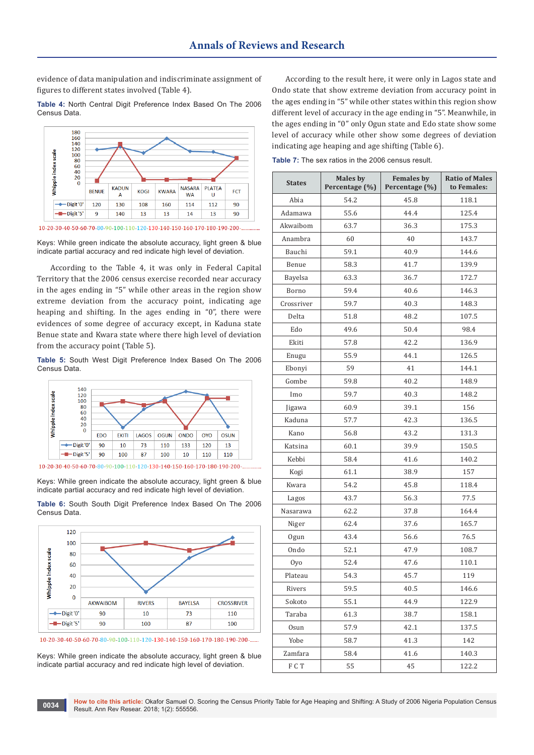evidence of data manipulation and indiscriminate assignment of figures to different states involved (Table 4).

**Table 4:** North Central Digit Preference Index Based On The 2006 Census Data.



10-20-30-40-50-60-70-80-90-100-110-120-130-140-150-160-170-180-190-200-....

Keys: While green indicate the absolute accuracy, light green & blue indicate partial accuracy and red indicate high level of deviation.

According to the Table 4, it was only in Federal Capital Territory that the 2006 census exercise recorded near accuracy in the ages ending in "5" while other areas in the region show extreme deviation from the accuracy point, indicating age heaping and shifting. In the ages ending in "0", there were evidences of some degree of accuracy except, in Kaduna state Benue state and Kwara state where there high level of deviation from the accuracy point (Table 5).

**Table 5:** South West Digit Preference Index Based On The 2006 Census Data.



10-20-30-40-50-60-70-80-90-100-110-120-130-140-150-160-170-180-190-200-.....

Keys: While green indicate the absolute accuracy, light green & blue indicate partial accuracy and red indicate high level of deviation.

**Table 6:** South South Digit Preference Index Based On The 2006 Census Data.



10-20-30-40-50-60-70-80-90-100-110-120-130-140-150-160-170-180-190-200-....

Keys: While green indicate the absolute accuracy, light green & blue indicate partial accuracy and red indicate high level of deviation.

According to the result here, it were only in Lagos state and Ondo state that show extreme deviation from accuracy point in the ages ending in "5" while other states within this region show different level of accuracy in the age ending in "5". Meanwhile, in the ages ending in "0" only Ogun state and Edo state show some level of accuracy while other show some degrees of deviation indicating age heaping and age shifting (Table 6).

**Table 7:** The sex ratios in the 2006 census result.

| <b>States</b> | <b>Males</b> by<br>Percentage (%) | <b>Females by</b><br>Percentage (%) | <b>Ratio of Males</b><br>to Females: |
|---------------|-----------------------------------|-------------------------------------|--------------------------------------|
| Abia          | 54.2                              | 45.8                                | 118.1                                |
| Adamawa       | 55.6                              | 44.4                                | 125.4                                |
| Akwaibom      | 63.7                              | 36.3                                | 175.3                                |
| Anambra       | 60                                | 40                                  | 143.7                                |
| Bauchi        | 59.1                              | 40.9                                | 144.6                                |
| Benue         | 58.3                              | 41.7                                | 139.9                                |
| Bayelsa       | 63.3                              | 36.7                                | 172.7                                |
| Borno         | 59.4                              | 40.6                                | 146.3                                |
| Crossriver    | 59.7                              | 40.3                                | 148.3                                |
| Delta         | 51.8                              | 48.2                                | 107.5                                |
| Edo           | 49.6                              | 50.4                                | 98.4                                 |
| Ekiti         | 57.8                              | 42.2                                | 136.9                                |
| Enugu         | 55.9                              | 44.1                                | 126.5                                |
| Ebonyi        | 59                                | 41                                  | 144.1                                |
| Gombe         | 59.8                              | 40.2                                | 148.9                                |
| Imo           | 59.7                              | 40.3                                | 148.2                                |
| Jigawa        | 60.9                              | 39.1                                | 156                                  |
| Kaduna        | 57.7                              | 42.3                                | 136.5                                |
| Kano          | 56.8                              | 43.2                                | 131.3                                |
| Katsina       | 60.1                              | 39.9                                | 150.5                                |
| Kebbi         | 58.4                              | 41.6                                | 140.2                                |
| Kogi          | 61.1                              | 38.9                                | 157                                  |
| Kwara         | 54.2                              | 45.8                                | 118.4                                |
| Lagos         | 43.7                              | 56.3                                | 77.5                                 |
| Nasarawa      | 62.2                              | 37.8                                | 164.4                                |
| Niger         | 62.4                              | 37.6                                | 165.7                                |
| Ogun          | 43.4                              | 56.6                                | 76.5                                 |
| Ondo          | 52.1                              | 47.9                                | 108.7                                |
| Oyo           | 52.4                              | 47.6                                | 110.1                                |
| Plateau       | 54.3                              | 45.7                                | 119                                  |
| Rivers        | 59.5                              | 40.5                                | 146.6                                |
| Sokoto        | 55.1                              | 44.9                                | 122.9                                |
| Taraba        | 61.3                              | 38.7                                | 158.1                                |
| Osun          | 57.9                              | 42.1                                | 137.5                                |
| Yobe          | 58.7                              | 41.3                                | 142                                  |
| Zamfara       | 58.4                              | 41.6                                | 140.3                                |
| FCT           | 55                                | 45                                  | 122.2                                |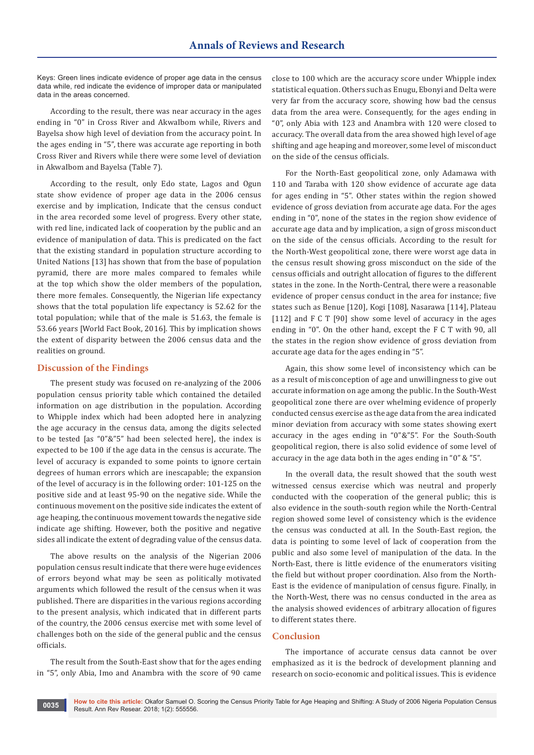Keys: Green lines indicate evidence of proper age data in the census data while, red indicate the evidence of improper data or manipulated data in the areas concerned.

According to the result, there was near accuracy in the ages ending in "0" in Cross River and AkwaIbom while, Rivers and Bayelsa show high level of deviation from the accuracy point. In the ages ending in "5", there was accurate age reporting in both Cross River and Rivers while there were some level of deviation in AkwaIbom and Bayelsa (Table 7).

According to the result, only Edo state, Lagos and Ogun state show evidence of proper age data in the 2006 census exercise and by implication, Indicate that the census conduct in the area recorded some level of progress. Every other state, with red line, indicated lack of cooperation by the public and an evidence of manipulation of data. This is predicated on the fact that the existing standard in population structure according to United Nations [13] has shown that from the base of population pyramid, there are more males compared to females while at the top which show the older members of the population, there more females. Consequently, the Nigerian life expectancy shows that the total population life expectancy is 52.62 for the total population; while that of the male is 51.63, the female is 53.66 years [World Fact Book, 2016]. This by implication shows the extent of disparity between the 2006 census data and the realities on ground.

# **Discussion of the Findings**

The present study was focused on re-analyzing of the 2006 population census priority table which contained the detailed information on age distribution in the population. According to Whipple index which had been adopted here in analyzing the age accuracy in the census data, among the digits selected to be tested [as "0"&"5" had been selected here], the index is expected to be 100 if the age data in the census is accurate. The level of accuracy is expanded to some points to ignore certain degrees of human errors which are inescapable; the expansion of the level of accuracy is in the following order: 101-125 on the positive side and at least 95-90 on the negative side. While the continuous movement on the positive side indicates the extent of age heaping, the continuous movement towards the negative side indicate age shifting. However, both the positive and negative sides all indicate the extent of degrading value of the census data.

The above results on the analysis of the Nigerian 2006 population census result indicate that there were huge evidences of errors beyond what may be seen as politically motivated arguments which followed the result of the census when it was published. There are disparities in the various regions according to the present analysis, which indicated that in different parts of the country, the 2006 census exercise met with some level of challenges both on the side of the general public and the census officials.

The result from the South-East show that for the ages ending in "5", only Abia, Imo and Anambra with the score of 90 came

close to 100 which are the accuracy score under Whipple index statistical equation. Others such as Enugu, Ebonyi and Delta were very far from the accuracy score, showing how bad the census data from the area were. Consequently, for the ages ending in "0", only Abia with 123 and Anambra with 120 were closed to accuracy. The overall data from the area showed high level of age shifting and age heaping and moreover, some level of misconduct on the side of the census officials.

For the North-East geopolitical zone, only Adamawa with 110 and Taraba with 120 show evidence of accurate age data for ages ending in "5". Other states within the region showed evidence of gross deviation from accurate age data. For the ages ending in "0", none of the states in the region show evidence of accurate age data and by implication, a sign of gross misconduct on the side of the census officials. According to the result for the North-West geopolitical zone, there were worst age data in the census result showing gross misconduct on the side of the census officials and outright allocation of figures to the different states in the zone. In the North-Central, there were a reasonable evidence of proper census conduct in the area for instance; five states such as Benue [120], Kogi [108], Nasarawa [114], Plateau [112] and F C T [90] show some level of accuracy in the ages ending in "0". On the other hand, except the F C T with 90, all the states in the region show evidence of gross deviation from accurate age data for the ages ending in "5".

Again, this show some level of inconsistency which can be as a result of misconception of age and unwillingness to give out accurate information on age among the public. In the South-West geopolitical zone there are over whelming evidence of properly conducted census exercise as the age data from the area indicated minor deviation from accuracy with some states showing exert accuracy in the ages ending in "0"&"5". For the South-South geopolitical region, there is also solid evidence of some level of accuracy in the age data both in the ages ending in "0" & "5".

In the overall data, the result showed that the south west witnessed census exercise which was neutral and properly conducted with the cooperation of the general public; this is also evidence in the south-south region while the North-Central region showed some level of consistency which is the evidence the census was conducted at all. In the South-East region, the data is pointing to some level of lack of cooperation from the public and also some level of manipulation of the data. In the North-East, there is little evidence of the enumerators visiting the field but without proper coordination. Also from the North-East is the evidence of manipulation of census figure. Finally, in the North-West, there was no census conducted in the area as the analysis showed evidences of arbitrary allocation of figures to different states there.

#### **Conclusion**

The importance of accurate census data cannot be over emphasized as it is the bedrock of development planning and research on socio-economic and political issues. This is evidence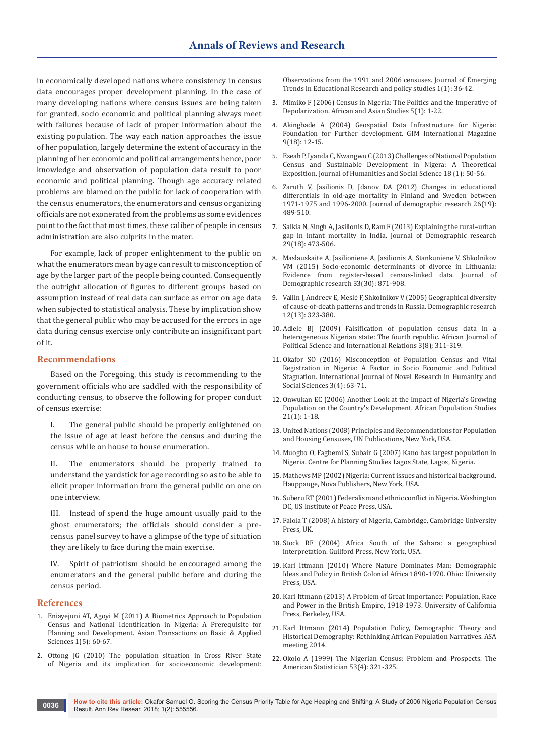in economically developed nations where consistency in census data encourages proper development planning. In the case of many developing nations where census issues are being taken for granted, socio economic and political planning always meet with failures because of lack of proper information about the existing population. The way each nation approaches the issue of her population, largely determine the extent of accuracy in the planning of her economic and political arrangements hence, poor knowledge and observation of population data result to poor economic and political planning. Though age accuracy related problems are blamed on the public for lack of cooperation with the census enumerators, the enumerators and census organizing officials are not exonerated from the problems as some evidences point to the fact that most times, these caliber of people in census administration are also culprits in the mater.

For example, lack of proper enlightenment to the public on what the enumerators mean by age can result to misconception of age by the larger part of the people being counted. Consequently the outright allocation of figures to different groups based on assumption instead of real data can surface as error on age data when subjected to statistical analysis. These by implication show that the general public who may be accused for the errors in age data during census exercise only contribute an insignificant part of it.

#### **Recommendations**

Based on the Foregoing, this study is recommending to the government officials who are saddled with the responsibility of conducting census, to observe the following for proper conduct of census exercise:

I. The general public should be properly enlightened on the issue of age at least before the census and during the census while on house to house enumeration.

II. The enumerators should be properly trained to understand the yardstick for age recording so as to be able to elicit proper information from the general public on one on one interview.

III. Instead of spend the huge amount usually paid to the ghost enumerators; the officials should consider a precensus panel survey to have a glimpse of the type of situation they are likely to face during the main exercise.

IV. Spirit of patriotism should be encouraged among the enumerators and the general public before and during the census period.

#### **References**

- 1. [Eniayejuni AT, Agoyi M \(2011\) A Biometrics Approach to Population](http://asian-transactions.org/Journals/Vol01Issue05/ATBAS/ATBAS-80121059.pdf)  [Census and National Identification in Nigeria: A Prerequisite for](http://asian-transactions.org/Journals/Vol01Issue05/ATBAS/ATBAS-80121059.pdf)  [Planning and Development. Asian Transactions on Basic & Applied](http://asian-transactions.org/Journals/Vol01Issue05/ATBAS/ATBAS-80121059.pdf)  [Sciences 1\(5\): 60-67.](http://asian-transactions.org/Journals/Vol01Issue05/ATBAS/ATBAS-80121059.pdf)
- 2. [Ottong JG \(2010\) The population situation in Cross River State](http://jeteraps.scholarlinkresearch.com/articles/THE%20POPULATION%20SITUATION%20IN%20CROSS%20RIVER%20STATE_OCTOBER-1.pdf)  [of Nigeria and its implication for socioeconomic development:](http://jeteraps.scholarlinkresearch.com/articles/THE%20POPULATION%20SITUATION%20IN%20CROSS%20RIVER%20STATE_OCTOBER-1.pdf)

[Observations from the 1991 and 2006 censuses. Journal of Emerging](http://jeteraps.scholarlinkresearch.com/articles/THE%20POPULATION%20SITUATION%20IN%20CROSS%20RIVER%20STATE_OCTOBER-1.pdf)  [Trends in Educational Research and policy studies 1\(1\): 36-42.](http://jeteraps.scholarlinkresearch.com/articles/THE%20POPULATION%20SITUATION%20IN%20CROSS%20RIVER%20STATE_OCTOBER-1.pdf)

- 3. Mimiko F (2006) Census in Nigeria: The Politics and the Imperative of Depolarization. African and Asian Studies 5(1): 1-22.
- 4. Akingbade A (2004) Geospatial Data Infrastructure for Nigeria: Foundation for Further development. GIM International Magazine 9(18): 12-15.
- 5. [Ezeah P, Iyanda C, Nwangwu C \(2013\) Challenges of National Population](https://pdfs.semanticscholar.org/e901/a3f7d9142c7b489b1b20c66e7904c3fd60c5.pdf)  [Census and Sustainable Development in Nigera: A Theoretical](https://pdfs.semanticscholar.org/e901/a3f7d9142c7b489b1b20c66e7904c3fd60c5.pdf)  [Exposition. Journal of Humanities and Social Science 18 \(1\): 50-56.](https://pdfs.semanticscholar.org/e901/a3f7d9142c7b489b1b20c66e7904c3fd60c5.pdf)
- 6. [Zaruth V, Jasilionis D, Jdanov DA \(2012\) Changes in educational](https://www.demographic-research.org/Volumes/Vol26/19/26-19.pdf)  [differentials in old-age mortality in Finland and Sweden between](https://www.demographic-research.org/Volumes/Vol26/19/26-19.pdf)  [1971-1975 and 1996-2000. Journal of demographic research 26\(19\):](https://www.demographic-research.org/Volumes/Vol26/19/26-19.pdf)  [489-510.](https://www.demographic-research.org/Volumes/Vol26/19/26-19.pdf)
- 7. [Saikia N, Singh A, Jasilionis D, Ram F \(2013\) Explaining the rural–urban](https://www.demographic-research.org/volumes/vol29/18/default.htm)  [gap in infant mortality in India. Journal of Demographic research](https://www.demographic-research.org/volumes/vol29/18/default.htm)  [29\(18\): 473-506.](https://www.demographic-research.org/volumes/vol29/18/default.htm)
- 8. [Maslauskaite A, Jasilioniene A, Jasilionis A, Stankuniene V, Shkolnikov](https://www.demographic-research.org/volumes/vol33/30/33-30.pdf)  [VM \(2015\) Socio-economic determinants of divorce in Lithuania:](https://www.demographic-research.org/volumes/vol33/30/33-30.pdf)  [Evidence from register-based census-linked data. Journal of](https://www.demographic-research.org/volumes/vol33/30/33-30.pdf)  [Demographic research 33\(30\): 871-908.](https://www.demographic-research.org/volumes/vol33/30/33-30.pdf)
- 9. [Vallin J, Andreev E, Meslé F, Shkolnikov V \(2005\) Geographical diversity](https://www.demographic-research.org/volumes/vol12/13/12-13.pdf)  [of cause-of-death patterns and trends in Russia. Demographic research](https://www.demographic-research.org/volumes/vol12/13/12-13.pdf)  [12\(13\): 323-380.](https://www.demographic-research.org/volumes/vol12/13/12-13.pdf)
- 10. [Adiele BJ \(2009\) Falsification of population census data in a](http://www.academicjournals.org/article/article1380813122_Bamgbose%20pdf.pdf)  [heterogeneous Nigerian state: The fourth republic. African Journal of](http://www.academicjournals.org/article/article1380813122_Bamgbose%20pdf.pdf)  [Political Science and International Relations 3\(8\); 311-319.](http://www.academicjournals.org/article/article1380813122_Bamgbose%20pdf.pdf)
- 11. [Okafor SO \(2016\) Misconception of Population Census and Vital](file:///C:\Users\User\Downloads\Misconception%20of%20Population-730.pdf)  [Registration in Nigeria: A Factor in Socio Economic and Political](file:///C:\Users\User\Downloads\Misconception%20of%20Population-730.pdf)  [Stagnation. International Journal of Novel Research in Humanity and](file:///C:\Users\User\Downloads\Misconception%20of%20Population-730.pdf)  [Social Sciences 3\(4\): 63-71.](file:///C:\Users\User\Downloads\Misconception%20of%20Population-730.pdf)
- 12. [Onwukan EC \(2006\) Another Look at the Impact of Nigeria's Growing](http://www.bioline.org.br/pdf?ep06001)  [Population on the Country's Development. African Population Studies](http://www.bioline.org.br/pdf?ep06001)  [21\(1\): 1-18.](http://www.bioline.org.br/pdf?ep06001)
- 13. [United Nations \(2008\) Principles and Recommendations for Population](https://unstats.un.org/unsd/publication/seriesm/seriesm_67rev2e.pdf)  [and Housing Censuses, UN Publications, New York, USA.](https://unstats.un.org/unsd/publication/seriesm/seriesm_67rev2e.pdf)
- 14. Muogbo O, Fagbemi S, Subair G (2007) Kano has largest population in Nigeria. Centre for Planning Studies Lagos State, Lagos, Nigeria.
- 15. [Mathews MP \(2002\) Nigeria: Current issues and historical background.](https://catalog.hathitrust.org/Record/004279537)  [Hauppauge, Nova Publishers, New York, USA.](https://catalog.hathitrust.org/Record/004279537)
- 16. Suberu RT (2001) Federalism and ethnic conflict in Nigeria. Washington DC, US Institute of Peace Press, USA.
- 17. Falola T (2008) A history of Nigeria, Cambridge, Cambridge University Press, UK.
- 18. Stock RF (2004) Africa South of the Sahara: a geographical interpretation. Guilford Press, New York, USA.
- 19. Karl Ittmann (2010) Where Nature Dominates Man: Demographic Ideas and Policy in British Colonial Africa 1890-1970. Ohio: University Press, USA.
- 20. Karl Ittmann (2013) A Problem of Great Importance: Population, Race and Power in the British Empire, 1918-1973. University of California Press, Berkeley, USA.
- 21. [Karl Ittmann \(2014\) Population Policy, Demographic Theory and](http://www.academia.edu/9695162/Population_Policy_Demographic_Theory_and_Historical_Demography_Rethinking_African_Population_Narratives)  [Historical Demography: Rethinking African Population Narratives. ASA](http://www.academia.edu/9695162/Population_Policy_Demographic_Theory_and_Historical_Demography_Rethinking_African_Population_Narratives)  [meeting 2014.](http://www.academia.edu/9695162/Population_Policy_Demographic_Theory_and_Historical_Demography_Rethinking_African_Population_Narratives)
- 22. Okolo A (1999) The Nigerian Census: Problem and Prospects. The American Statistician 53(4): 321-325.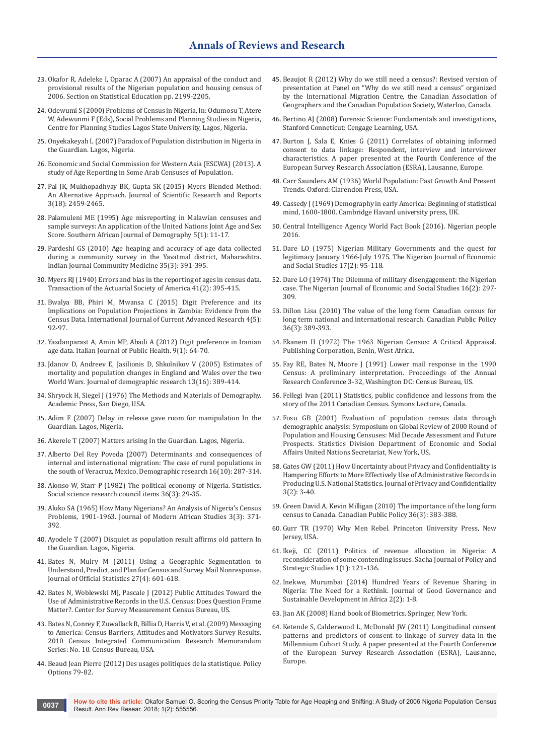- 23. [Okafor R, Adeleke I, Oparac A \(2007\) An appraisal of the conduct and](https://ww2.amstat.org/sections/srms/Proceedings/y2007/Files/JSM2007-000561.pdf)  [provisional results of the Nigerian population and housing census of](https://ww2.amstat.org/sections/srms/Proceedings/y2007/Files/JSM2007-000561.pdf)  [2006. Section on Statistical Education pp. 2199-2205.](https://ww2.amstat.org/sections/srms/Proceedings/y2007/Files/JSM2007-000561.pdf)
- 24. Odewumi S (2000) Problems of Census in Nigeria, In: Odumosu T, Atere W, Adewunmi F (Eds), Social Problems and Planning Studies in Nigeria, Centre for Planning Studies Lagos State University, Lagos, Nigeria.
- 25. Onyekakeyah L (2007) Paradox of Population distribution in Nigeria in the Guardian. Lagos, Nigeria.
- 26. Economic and Social Commission for Western Asia (ESCWA) (2013). A study of Age Reporting in Some Arab Censuses of Population.
- 27. [Pal JK, Mukhopadhyay BK, Gupta SK \(2015\) Myers Blended Method:](http://www.journalrepository.org/media/journals/JSRR_22/2014/Aug/Pal3182014JSRR10673_1.pdf)  [An Alternative Approach. Journal of Scientific Research and Reports](http://www.journalrepository.org/media/journals/JSRR_22/2014/Aug/Pal3182014JSRR10673_1.pdf)  [3\(18\): 2459-2465.](http://www.journalrepository.org/media/journals/JSRR_22/2014/Aug/Pal3182014JSRR10673_1.pdf)
- 28. Palamuleni ME (1995) Age misreporting in Malawian censuses and sample surveys: An application of the United Nations Joint Age and Sex Score. Southern African Journal of Demography 5(1): 11-17.
- 29. [Pardeshi GS \(2010\) Age heaping and accuracy of age data collected](http://www.ijcm.org.in/article.asp?issn=0970-0218;year=2010;volume=35;issue=3;spage=391;epage=395;aulast=Pardeshi)  [during a community survey in the Yavatmal district, Maharashtra.](http://www.ijcm.org.in/article.asp?issn=0970-0218;year=2010;volume=35;issue=3;spage=391;epage=395;aulast=Pardeshi)  [Indian Journal Community Medicine 35\(3\): 391-395.](http://www.ijcm.org.in/article.asp?issn=0970-0218;year=2010;volume=35;issue=3;spage=391;epage=395;aulast=Pardeshi)
- 30. Myers RJ (1940) Errors and bias in the reporting of ages in census data. Transaction of the Actuarial Society of America 41(2): 395-415.
- 31. [Bwalya BB, Phiri M, Mwansa C \(2015\) Digit Preference and its](http://www.journalijcar.org/sites/default/files/issue-files/0053_0.pdf)  [Implications on Population Projections in Zambia: Evidence from the](http://www.journalijcar.org/sites/default/files/issue-files/0053_0.pdf)  [Census Data. International Journal of Current Advanced Research 4\(5\):](http://www.journalijcar.org/sites/default/files/issue-files/0053_0.pdf)  [92-97.](http://www.journalijcar.org/sites/default/files/issue-files/0053_0.pdf)
- 32. [Yazdanparast A, Amin MP, Abadi A \(2012\) Digit preference in Iranian](file:///C:\Users\User\Downloads\5630-7381-1-SM.pdf)  [age data. Italian Journal of Public Health. 9\(1\): 64-70.](file:///C:\Users\User\Downloads\5630-7381-1-SM.pdf)
- 33. [Jdanov D, Andreev E, Jasilionis D, Shkolnikov V \(2005\) Estimates of](https://www.demographic-research.org/volumes/vol13/16/13-16.pdf)  [mortality and population changes in England and Wales over the two](https://www.demographic-research.org/volumes/vol13/16/13-16.pdf)  [World Wars. Journal of demographic research 13\(16\): 389-414.](https://www.demographic-research.org/volumes/vol13/16/13-16.pdf)
- 34. Shryock H, Siegel J (1976) The Methods and Materials of Demography. Academic Press, San Diego, USA.
- 35. Adim F (2007) Delay in release gave room for manipulation In the Guardian. Lagos, Nigeria.
- 36. Akerele T (2007) Matters arising In the Guardian. Lagos, Nigeria.
- 37. [Alberto Del Rey Poveda \(2007\) Determinants and consequences of](https://www.demographic-research.org/volumes/vol16/10/16-10.pdf)  [internal and international migration: The case of rural populations in](https://www.demographic-research.org/volumes/vol16/10/16-10.pdf)  [the south of Veracruz, Mexico. Demographic research 16\(10\): 287-314.](https://www.demographic-research.org/volumes/vol16/10/16-10.pdf)
- 38. Alonso W, Starr P (1982) The political economy of Nigeria. Statistics. Social science research council items 36(3): 29-35.
- 39. Aluko SA (1965) How Many Nigerians? An Analysis of Nigeria's Census Problems, 1901-1963. Journal of Modern African Studies 3(3): 371- 392.
- 40. Ayodele T (2007) Disquiet as population result affirms old pattern In the Guardian. Lagos, Nigeria.
- 41. [Bates N, Mulry M \(2011\) Using a Geographic Segmentation to](http://www.sverigeisiffror.scb.se/contentassets/ca21efb41fee47d293bbee5bf7be7fb3/using-a-geographic-segmentation-to-understand-predict-and-plan-for-census-and-survey-mail-nonresponse.pdf)  [Understand, Predict, and Plan for Census and Survey Mail Nonresponse.](http://www.sverigeisiffror.scb.se/contentassets/ca21efb41fee47d293bbee5bf7be7fb3/using-a-geographic-segmentation-to-understand-predict-and-plan-for-census-and-survey-mail-nonresponse.pdf)  [Journal of Official Statistics 27\(4\): 601-618.](http://www.sverigeisiffror.scb.se/contentassets/ca21efb41fee47d293bbee5bf7be7fb3/using-a-geographic-segmentation-to-understand-predict-and-plan-for-census-and-survey-mail-nonresponse.pdf)
- 42. [Bates N, Woblewski MJ, Pascale J \(2012\) Public Attitudes Toward the](https://www.census.gov/srd/www/abstract/rsm2012-04.html)  [Use of Administrative Records in the U.S. Census: Does Question Frame](https://www.census.gov/srd/www/abstract/rsm2012-04.html)  [Matter?. Center for Survey Measurement Census Bureau, US.](https://www.census.gov/srd/www/abstract/rsm2012-04.html)
- 43. Bates N, Conrey F, Zuwallack R, Billia D, Harris V, et al. (2009) Messaging to America: Census Barriers, Attitudes and Motivators Survey Results. 2010 Census Integrated Communication Research Memorandum Series: No. 10. Census Bureau, USA.
- 44. [Beaud Jean Pierre \(2012\) Des usages politiques de la statistique.](http://irpp.org/wp-content/uploads/assets/po/making-parliament-work/beaud.pdf) Policy [Options 79-82.](http://irpp.org/wp-content/uploads/assets/po/making-parliament-work/beaud.pdf)
- 45. Beaujot R (2012) Why do we still need a census?: Revised version of presentation at Panel on "Why do we still need a census" organized by the International Migration Centre, the Canadian Association of Geographers and the Canadian Population Society, Waterloo, Canada.
- 46. Bertino AJ (2008) Forensic Science: Fundamentals and investigations, Stanford Conneticut: Cengage Learning, USA.
- 47. Burton J, Sala E, Knies G (2011) Correlates of obtaining informed consent to data linkage: Respondent, interview and interviewer characteristics. A paper presented at the Fourth Conference of the European Survey Research Association (ESRA), Lausanne, Europe.
- 48. Carr Saunders AM (1936) World Population: Past Growth And Present Trends. Oxford: Clarendon Press, USA.
- 49. [Cassedy J \(1969\) Demography in early America: Beginning of statistical](https://searchworks.stanford.edu/view/129078)  [mind, 1600-1800. Cambridge Havard university press, UK.](https://searchworks.stanford.edu/view/129078)
- 50. Central Intelligence Agency World Fact Book (2016). Nigerian people 2016.
- 51. [Dare LO \(1975\) Nigerian Military Governments and the quest for](http://www.africabib.org/rec.php?RID=190135751)  [legitimacy January 1966-July 1975. The Nigerian Journal of Economic](http://www.africabib.org/rec.php?RID=190135751)  [and Social Studies 17\(2\): 95-118.](http://www.africabib.org/rec.php?RID=190135751)
- 52. [Dare LO \(1974\) The Dilemma of military disengagement: the Nigerian](https://www.econbiz.de/Record/the-dilemma-of-military-disengagement-the-nigerian-case-dare/10002046626)  [case. The Nigerian Journal of Economic and Social Studies 16\(2\): 297-](https://www.econbiz.de/Record/the-dilemma-of-military-disengagement-the-nigerian-case-dare/10002046626) [309.](https://www.econbiz.de/Record/the-dilemma-of-military-disengagement-the-nigerian-case-dare/10002046626)
- 53. Dillon Lisa (2010) The value of the long form Canadian census for long term national and international research. Canadian Public Policy 36(3): 389-393.
- 54. Ekanem II (1972) The 1963 Nigerian Census: A Critical Appraisal. Publishing Corporation, Benin, West Africa.
- 55. Fay RE, Bates N, Moore J (1991) Lower mail response in the 1990 Census: A preliminary interpretation. Proceedings of the Annual Research Conference 3-32, Washington DC: Census Bureau, US.
- 56. Fellegi Ivan (2011) Statistics, public confidence and lessons from the story of the 2011 Canadian Census. Symons Lecture, Canada.
- 57. Fosu GB (2001) [Evaluation of population census data through](https://unstats.un.org/unsd/demographic/meetings/egm/symposium2001/docs/symposium_11.htm)  [demographic analysis: Symposium on Global Review of 2000 Round of](https://unstats.un.org/unsd/demographic/meetings/egm/symposium2001/docs/symposium_11.htm)  Population and Housing Censuses: [Mid Decade Assessment and Future](https://unstats.un.org/unsd/demographic/meetings/egm/symposium2001/docs/symposium_11.htm)  [Prospects. Statistics Division Department of Economic and Social](https://unstats.un.org/unsd/demographic/meetings/egm/symposium2001/docs/symposium_11.htm)  [Affairs United Nations Secretariat, New York, US.](https://unstats.un.org/unsd/demographic/meetings/egm/symposium2001/docs/symposium_11.htm)
- 58. [Gates GW \(2011\) How Uncertainty about Privacy and Confidentiality is](http://repository.cmu.edu/cgi/viewcontent.cgi?article=1072&context=jpc)  [Hampering Efforts to More Effectively Use of Administrative Records in](http://repository.cmu.edu/cgi/viewcontent.cgi?article=1072&context=jpc)  [Producing U.S. National Statistics. Journal of Privacy and Confidentiality](http://repository.cmu.edu/cgi/viewcontent.cgi?article=1072&context=jpc)  [3\(2\): 3-40.](http://repository.cmu.edu/cgi/viewcontent.cgi?article=1072&context=jpc)
- 59. [Green David A, Kevin Milligan \(2010\) The importance of the long form](http://www.utpjournals.press/doi/abs/10.3138/cpp.36.3.383)  [census to Canada. Canadian Public Policy 36\(3\): 383-388.](http://www.utpjournals.press/doi/abs/10.3138/cpp.36.3.383)
- 60. Gurr TR (1970) Why Men Rebel. Princeton University Press, New Jersey, USA.
- 61. [Ikeji, CC \(2011\) Politics of revenue allocation in Nigeria: A](http://www.sachajournals.com/user/image/ikejisjpss002.pdf)  [reconsideration of some contending issues. Sacha Journal of Policy and](http://www.sachajournals.com/user/image/ikejisjpss002.pdf)  [Strategic Studies 1\(1\): 121-136.](http://www.sachajournals.com/user/image/ikejisjpss002.pdf)
- 62. [Inekwe, Murumbai \(2014\) Hundred Years of Revenue Sharing in](http://rcmss.com/2014/JGGSDA-VOL2-No2/Hundred%20Years%20of%20Revenue%20Sharing%20in%20Nigeria%20The%20Need%20for%20a%20Rethink%20JGGSDA%202014.pdf)  [Nigeria: The Need for a Rethink. Journal of Good Governance and](http://rcmss.com/2014/JGGSDA-VOL2-No2/Hundred%20Years%20of%20Revenue%20Sharing%20in%20Nigeria%20The%20Need%20for%20a%20Rethink%20JGGSDA%202014.pdf)  [Sustainable Development in Africa 2\(2\): 1-8.](http://rcmss.com/2014/JGGSDA-VOL2-No2/Hundred%20Years%20of%20Revenue%20Sharing%20in%20Nigeria%20The%20Need%20for%20a%20Rethink%20JGGSDA%202014.pdf)
- 63. Jian AK (2008) Hand book of Biometrics. Springer, New York.
- 64. Ketende S, Calderwood L, McDonald JW (2011) Longitudinal consent patterns and predictors of consent to linkage of survey data in the Millennium Cohort Study. A paper presented at the Fourth Conference of the European Survey Research Association (ESRA), Lausanne, Europe.

**How to cite this article:** Okafor Samuel O. Scoring the Census Priority Table for Age Heaping and Shifting: A Study of 2006 Nigeria Population Census **0037 Result. Ann Rev Resear. 2018; 1(2): 555556. CONS**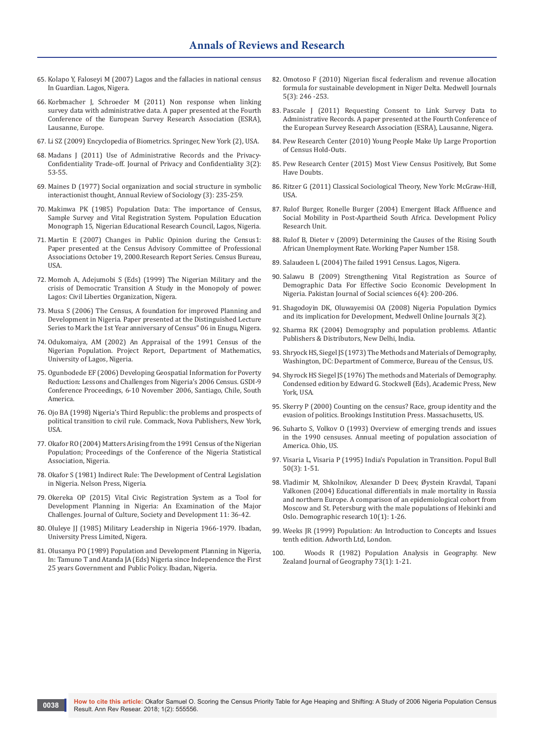- 65. Kolapo Y, Faloseyi M (2007) Lagos and the fallacies in national census In Guardian. Lagos, Nigera.
- 66. Korbmacher J, Schroeder M (2011) Non response when linking survey data with administrative data. A paper presented at the Fourth Conference of the European Survey Research Association (ESRA), Lausanne, Europe.
- 67. Li SZ (2009) Encyclopedia of Biometrics. Springer, New York (2), USA.
- 68. [Madans J \(2011\) Use of Administrative Records and the Privacy-](http://repository.cmu.edu/cgi/viewcontent.cgi?article=1075&context=jpc)[Confidentiality Trade-off. Journal of Privacy and Confidentiality 3\(2\):](http://repository.cmu.edu/cgi/viewcontent.cgi?article=1075&context=jpc)  [53-55.](http://repository.cmu.edu/cgi/viewcontent.cgi?article=1075&context=jpc)
- 69. [Maines D \(1977\) Social organization and social structure in symbolic](http://www.annualreviews.org/doi/abs/10.1146/annurev.so.03.080177.001315)  [interactionist thought, Annual Review of Sociology \(3\): 235-259.](http://www.annualreviews.org/doi/abs/10.1146/annurev.so.03.080177.001315)
- 70. [Makinwa PK \(1985\) Population Data: The importance of Census,](https://www.popline.org/node/425862)  [Sample Survey and Vital Registration System. Population Education](https://www.popline.org/node/425862)  [Monograph 15, Nigerian Educational Research Council, Lagos, Nigeria.](https://www.popline.org/node/425862)
- 71. [Martin E \(2007\) Changes in Public Opinion during the Census1:](https://www.census.gov/srd/papers/pdf/rsm2007-06.pdf)  [Paper presented at the Census Advisory Committee of Professional](https://www.census.gov/srd/papers/pdf/rsm2007-06.pdf)  [Associations October 19, 2000.Research Report Series. Census Bureau,](https://www.census.gov/srd/papers/pdf/rsm2007-06.pdf)  **IISA**
- 72. [Momoh A, Adejumobi S \(Eds\) \(1999\) The Nigerian Military and the](https://catalog.hathitrust.org/Record/008575438)  [crisis of Democratic Transition A Study in the Monopoly of power.](https://catalog.hathitrust.org/Record/008575438)  [Lagos: Civil Liberties Organization, Nigera.](https://catalog.hathitrust.org/Record/008575438)
- 73. Musa S (2006) The Census, A foundation for improved Planning and Development in Nigeria. Paper presented at the Distinguished Lecture Series to Mark the 1st Year anniversary of Census" 06 in Enugu, Nigera.
- 74. Odukomaiya, AM (2002) An Appraisal of the 1991 Census of the Nigerian Population. Project Report, Department of Mathematics, University of Lagos, Nigeria.
- 75. Ogunbodede EF (2006) Developing Geospatial Information for Poverty Reduction: Lessons and Challenges from Nigeria's 2006 Census. GSDI-9 Conference Proceedings, 6-10 November 2006, Santiago, Chile, South America.
- 76. [Ojo BA \(1998\) Nigeria's Third Republic: the problems and prospects of](https://searchworks.stanford.edu/view/3962885)  [political transition to civil rule. Commack, Nova Publishers, New York,](https://searchworks.stanford.edu/view/3962885)  **USA**
- 77. Okafor RO (2004) Matters Arising from the 1991 Census of the Nigerian Population; Proceedings of the Conference of the Nigeria Statistical Association, Nigeria.
- 78. Okafor S (1981) Indirect Rule: The Development of Central Legislation in Nigeria. Nelson Press, Nigeria.
- 79. [Okereka OP \(2015\) Vital Civic Registration System as a Tool for](file:///C:\Users\User\Downloads\25657-28257-1-PB.pdf)  [Development Planning in Nigeria: An Examination of the Major](file:///C:\Users\User\Downloads\25657-28257-1-PB.pdf)  [Challenges. Journal of Culture, Society and Development 11: 36-42.](file:///C:\Users\User\Downloads\25657-28257-1-PB.pdf)
- 80. [Oluleye JJ \(1985\) Military Leadership in Nigeria 1966-1979. Ibadan,](https://searchworks.stanford.edu/view/1916022)  [University Press Limited, Nigera.](https://searchworks.stanford.edu/view/1916022)
- 81. Olusanya PO (1989) Population and Development Planning in Nigeria, In: Tamuno T and Atanda JA (Eds) Nigeria since Independence the First 25 years Government and Public Policy. Ibadan, Nigeria.
- 82. [Omotoso F \(2010\) Nigerian fiscal federalism and revenue allocation](http://docsdrive.com/pdfs/medwelljournals/sscience/2010/246-253.pdf)  [formula for sustainable development in Niger Delta. Medwell Journals](http://docsdrive.com/pdfs/medwelljournals/sscience/2010/246-253.pdf)  [5\(3\): 246 -253.](http://docsdrive.com/pdfs/medwelljournals/sscience/2010/246-253.pdf)
- 83. Pascale J (2011) Requesting Consent to Link Survey Data to Administrative Records. A paper presented at the Fourth Conference of the European Survey Research Association (ESRA), Lausanne, Nigera.
- 84. [Pew Research Center \(2010\) Young People Make Up Large Proportion](http://www.pewresearch.org/2010/03/24/young-people-make-up-large-proportion-of-census-holdouts/)  [of Census Hold-Outs.](http://www.pewresearch.org/2010/03/24/young-people-make-up-large-proportion-of-census-holdouts/)
- 85. [Pew Research Center \(2015\) Most View Census Positively, But Some](http://www.people-press.org/2010/01/20/most-view-census-positively-but-some-have-doubts/)  [Have Doubts.](http://www.people-press.org/2010/01/20/most-view-census-positively-but-some-have-doubts/)
- 86. Ritzer G (2011) Classical Sociological Theory, New York: McGraw-Hill, **IISA**
- 87. [Rulof Burger, Ronelle Burger \(2004\) Emergent Black Affluence and](https://www.datafirst.uct.ac.za/dataportal/index.php/citations/790)  [Social Mobility in Post-Apartheid South Africa. Development Policy](https://www.datafirst.uct.ac.za/dataportal/index.php/citations/790)  [Research Unit.](https://www.datafirst.uct.ac.za/dataportal/index.php/citations/790)
- 88. Rulof B, Dieter v (2009) Determining the Causes of the Rising South African Unemployment Rate. Working Paper Number 158.
- 89. Salaudeen L (2004) The failed 1991 Census. Lagos, Nigera.
- 90. Salawu B (2009) Strengthening Vital Registration as Source of Demographic Data For Effective Socio Economic Development In Nigeria. Pakistan Journal of Social sciences 6(4): 200-206.
- 91. Shagodoyin DK, Oluwayemisi OA (2008) Nigeria Population Dymics and its implication for Development, Medwell Online Journals 3(2).
- 92. Sharma RK (2004) Demography and population problems. Atlantic Publishers & Distributors, New Delhi, India.
- 93. Shryock HS, Siegel JS (1973) The Methods and Materials of Demography, Washington, DC: Department of Commerce, Bureau of the Census, US.
- 94. [Shyrock HS Siegel JS \(1976\) The methods and Materials of Demography.](https://trove.nla.gov.au/work/3485789?selectedversion=NBD765446)  [Condensed edition by Edward G. Stockwell \(Eds\), Academic Press, New](https://trove.nla.gov.au/work/3485789?selectedversion=NBD765446)  [York, USA.](https://trove.nla.gov.au/work/3485789?selectedversion=NBD765446)
- 95. [Skerry P \(2000\) Counting on the census? Race, group identity and the](https://www.brookings.edu/book/counting-on-the-census/)  [evasion of politics. Brookings Institution Press. Massachusetts, US.](https://www.brookings.edu/book/counting-on-the-census/)
- 96. Suharto S, Volkov O (1993) Overview of emerging trends and issues in the 1990 censuses. Annual meeting of population association of America. Ohio, US.
- 97. [Visaria L, Visaria P \(1995\) India's Population in Transition. Popul Bull](https://www.ncbi.nlm.nih.gov/pubmed/12290691)  [50\(3\): 1-51.](https://www.ncbi.nlm.nih.gov/pubmed/12290691)
- 98. [Vladimir M, Shkolnikov, Alexander D Deev, Øystein Kravdal, Tapani](https://www.demographic-research.org/volumes/vol10/1/10-1.pdf)  [Valkonen \(2004\) Educational differentials in male mortality in Russia](https://www.demographic-research.org/volumes/vol10/1/10-1.pdf)  [and northern Europe. A comparison of an epidemiological cohort from](https://www.demographic-research.org/volumes/vol10/1/10-1.pdf)  [Moscow and St. Petersburg with the male populations of Helsinki and](https://www.demographic-research.org/volumes/vol10/1/10-1.pdf)  [Oslo. Demographic research 10\(1\): 1-26.](https://www.demographic-research.org/volumes/vol10/1/10-1.pdf)
- 99. [Weeks JR \(1999\) Population: An Introduction to Concepts and Issues](http://www.thenawkari.com/population-an-introduction-to-concepts-and-issues-10th-edition-english.pdf)  [tenth edition. Adworth Ltd, London.](http://www.thenawkari.com/population-an-introduction-to-concepts-and-issues-10th-edition-english.pdf)
- 100. [Woods R \(1982\) Population Analysis in Geography. New](http://onlinelibrary.wiley.com/doi/10.1111/j.0028-8292.1982.tb00714.x/full)  [Zealand Journal of Geography 73\(1\): 1-21.](http://onlinelibrary.wiley.com/doi/10.1111/j.0028-8292.1982.tb00714.x/full)